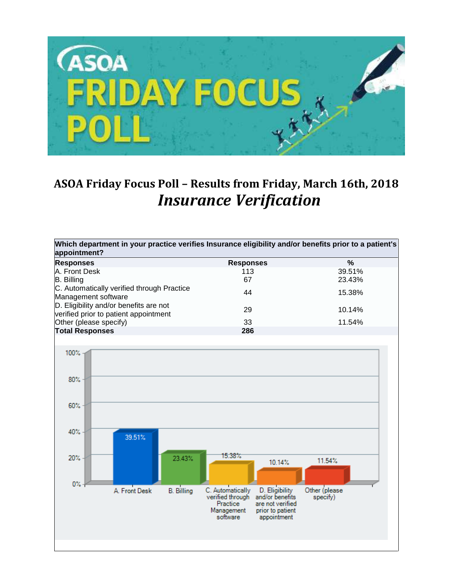

## **ASOA Friday Focus Poll – Results from Friday, March 16th, 2018** *Insurance Verification*

| Which department in your practice verifies Insurance eligibility and/or benefits prior to a patient's<br>appointment? |                                                                                                                                                                        |                           |
|-----------------------------------------------------------------------------------------------------------------------|------------------------------------------------------------------------------------------------------------------------------------------------------------------------|---------------------------|
| <b>Responses</b>                                                                                                      | <b>Responses</b>                                                                                                                                                       | $\%$                      |
| A. Front Desk                                                                                                         | 113                                                                                                                                                                    | 39.51%                    |
| <b>B.</b> Billing                                                                                                     | 67                                                                                                                                                                     | 23.43%                    |
| C. Automatically verified through Practice<br>Management software                                                     | 44                                                                                                                                                                     | 15.38%                    |
| D. Eligibility and/or benefits are not<br>verified prior to patient appointment                                       | 29                                                                                                                                                                     | 10.14%                    |
| Other (please specify)                                                                                                | 33                                                                                                                                                                     | 11.54%                    |
| <b>Total Responses</b>                                                                                                | 286                                                                                                                                                                    |                           |
| 100%<br>80%<br>60%<br>40%<br>39.51%<br>20%<br>23.43%                                                                  | 15.38%<br>10.14%                                                                                                                                                       | 11.54%                    |
| $0\% -$<br><b>B.</b> Billing<br>A. Front Desk                                                                         | D. Eligibility<br>C. Automatically<br>and/or benefits<br>verified through<br>Practice<br>are not verified<br>Management<br>prior to patient<br>software<br>appointment | Other (please<br>specify) |